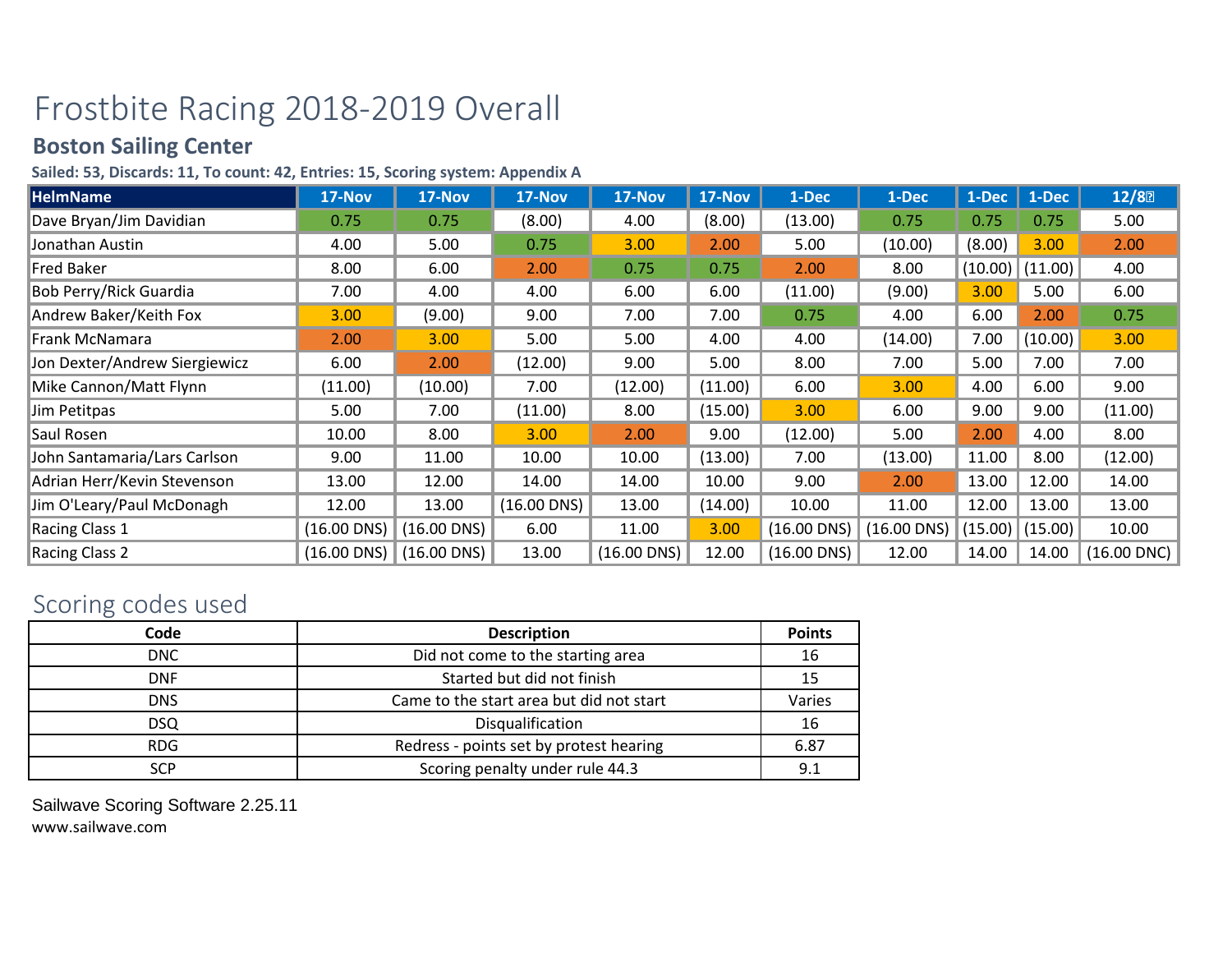## Frostbite Racing 2018-2019 Overall

## **Boston Sailing Center**

## **Sailed: 53, Discards: 11, To count: 42, Entries: 15, Scoring system: Appendix A**

| <b>HelmName</b>               | 17-Nov        | 17-Nov        | 17-Nov           | 17-Nov        | 17-Nov  | 1-Dec         | 1-Dec         | 1-Dec   | 1-Dec   | 12/8             |
|-------------------------------|---------------|---------------|------------------|---------------|---------|---------------|---------------|---------|---------|------------------|
| Dave Bryan/Jim Davidian       | 0.75          | 0.75          | (8.00)           | 4.00          | (8.00)  | (13.00)       | 0.75          | 0.75    | 0.75    | 5.00             |
| Jonathan Austin               | 4.00          | 5.00          | 0.75             | 3.00          | 2.00    | 5.00          | (10.00)       | (8.00)  | 3.00    | 2.00             |
| <b>Fred Baker</b>             | 8.00          | 6.00          | 2.00             | 0.75          | 0.75    | 2.00          | 8.00          | (10.00) | (11.00) | 4.00             |
| <b>Bob Perry/Rick Guardia</b> | 7.00          | 4.00          | 4.00             | 6.00          | 6.00    | (11.00)       | (9.00)        | 3.00    | 5.00    | 6.00             |
| Andrew Baker/Keith Fox        | 3.00          | (9.00)        | 9.00             | 7.00          | 7.00    | 0.75          | 4.00          | 6.00    | 2.00    | 0.75             |
| Frank McNamara                | 2.00          | 3.00          | 5.00             | 5.00          | 4.00    | 4.00          | (14.00)       | 7.00    | (10.00) | 3.00             |
| Jon Dexter/Andrew Siergiewicz | 6.00          | 2.00          | (12.00)          | 9.00          | 5.00    | 8.00          | 7.00          | 5.00    | 7.00    | 7.00             |
| Mike Cannon/Matt Flynn        | (11.00)       | (10.00)       | 7.00             | (12.00)       | (11.00) | 6.00          | 3.00          | 4.00    | 6.00    | 9.00             |
| Jim Petitpas                  | 5.00          | 7.00          | (11.00)          | 8.00          | (15.00) | 3.00          | 6.00          | 9.00    | 9.00    | (11.00)          |
| Saul Rosen                    | 10.00         | 8.00          | 3.00             | 2.00          | 9.00    | (12.00)       | 5.00          | 2.00    | 4.00    | 8.00             |
| John Santamaria/Lars Carlson  | 9.00          | 11.00         | 10.00            | 10.00         | (13.00) | 7.00          | (13.00)       | 11.00   | 8.00    | (12.00)          |
| Adrian Herr/Kevin Stevenson   | 13.00         | 12.00         | 14.00            | 14.00         | 10.00   | 9.00          | 2.00          | 13.00   | 12.00   | 14.00            |
| Jim O'Leary/Paul McDonagh     | 12.00         | 13.00         | $(16.00$ DNS $)$ | 13.00         | (14.00) | 10.00         | 11.00         | 12.00   | 13.00   | 13.00            |
| Racing Class 1                | $(16.00$ DNS) | $(16.00$ DNS) | 6.00             | 11.00         | 3.00    | $(16.00$ DNS) | $(16.00$ DNS) | (15.00) | (15.00) | 10.00            |
| Racing Class 2                | $(16.00$ DNS) | $(16.00$ DNS) | 13.00            | $(16.00$ DNS) | 12.00   | $(16.00$ DNS) | 12.00         | 14.00   | 14.00   | $(16.00$ DNC $)$ |

## Scoring codes used

| Code       | <b>Description</b>                       | <b>Points</b> |
|------------|------------------------------------------|---------------|
| <b>DNC</b> | Did not come to the starting area        | 16            |
| <b>DNF</b> | Started but did not finish               | 15            |
| <b>DNS</b> | Came to the start area but did not start | Varies        |
| DSQ        | Disqualification                         | 16            |
| <b>RDG</b> | Redress - points set by protest hearing  | 6.87          |
| <b>SCP</b> | Scoring penalty under rule 44.3          | 9.1           |

Sailwave Scoring Software 2.25.11 www.sailwave.com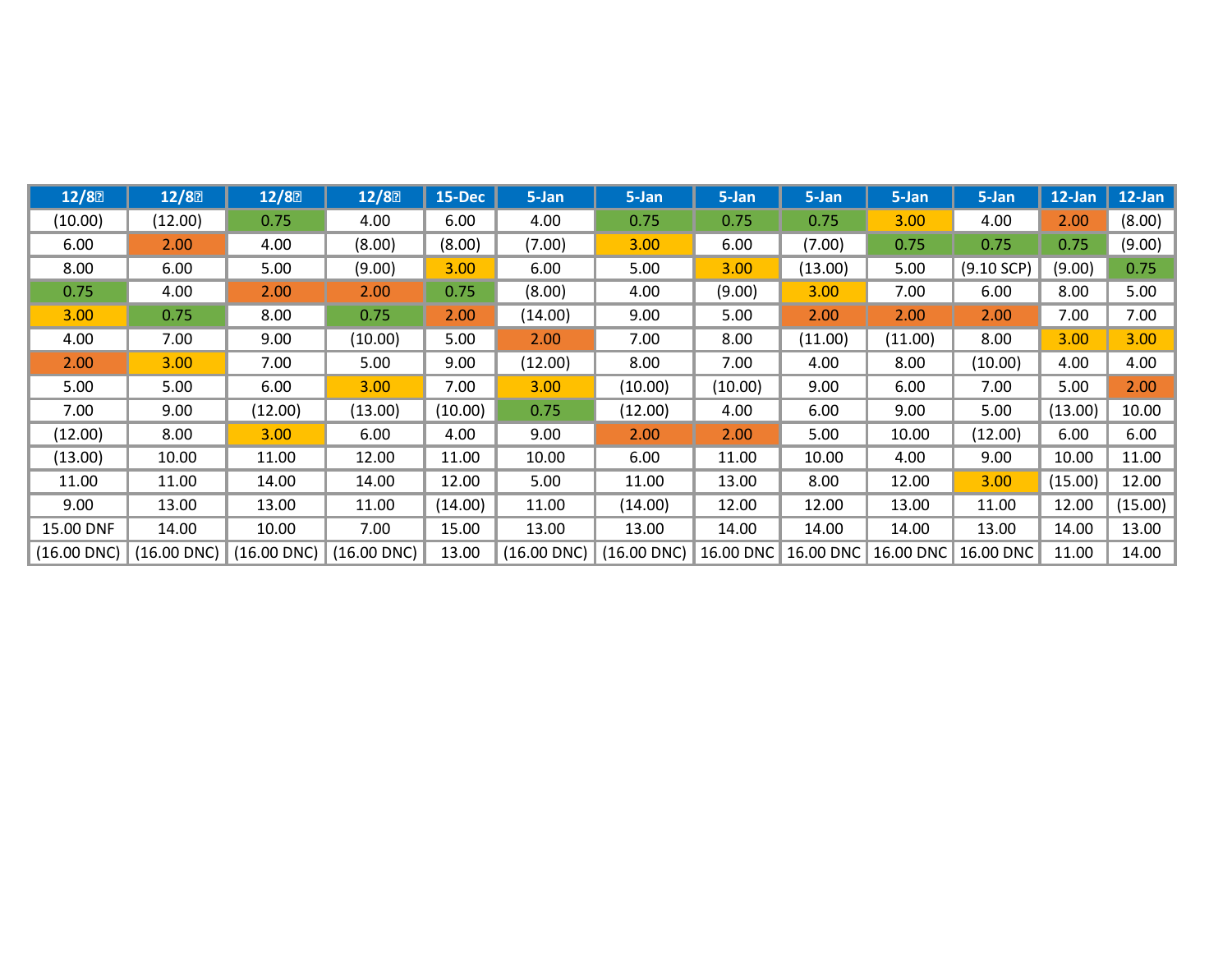| 12/8          | 12/8           | 12/8          | 12/8             | <b>15-Dec</b> | 5-Jan         | 5-Jan            | 5-Jan     | 5-Jan     | 5-Jan     | 5-Jan        | 12-Jan  | $12$ -Jan |
|---------------|----------------|---------------|------------------|---------------|---------------|------------------|-----------|-----------|-----------|--------------|---------|-----------|
| (10.00)       | (12.00)        | 0.75          | 4.00             | 6.00          | 4.00          | 0.75             | 0.75      | 0.75      | 3.00      | 4.00         | 2.00    | (8.00)    |
| 6.00          | 2.00           | 4.00          | (8.00)           | (8.00)        | (7.00)        | 3.00             | 6.00      | (7.00)    | 0.75      | 0.75         | 0.75    | (9.00)    |
| 8.00          | 6.00           | 5.00          | (9.00)           | 3.00          | 6.00          | 5.00             | 3.00      | (13.00)   | 5.00      | $(9.10$ SCP) | (9.00)  | 0.75      |
| 0.75          | 4.00           | 2.00          | 2.00             | 0.75          | (8.00)        | 4.00             | (9.00)    | 3.00      | 7.00      | 6.00         | 8.00    | 5.00      |
| 3.00          | 0.75           | 8.00          | 0.75             | 2.00          | (14.00)       | 9.00             | 5.00      | 2.00      | 2.00      | 2.00         | 7.00    | 7.00      |
| 4.00          | 7.00           | 9.00          | (10.00)          | 5.00          | 2.00          | 7.00             | 8.00      | (11.00)   | (11.00)   | 8.00         | 3.00    | 3.00      |
| 2.00          | 3.00           | 7.00          | 5.00             | 9.00          | (12.00)       | 8.00             | 7.00      | 4.00      | 8.00      | (10.00)      | 4.00    | 4.00      |
| 5.00          | 5.00           | 6.00          | 3.00             | 7.00          | 3.00          | (10.00)          | (10.00)   | 9.00      | 6.00      | 7.00         | 5.00    | 2.00      |
| 7.00          | 9.00           | (12.00)       | (13.00)          | (10.00)       | 0.75          | (12.00)          | 4.00      | 6.00      | 9.00      | 5.00         | (13.00) | 10.00     |
| (12.00)       | 8.00           | 3.00          | 6.00             | 4.00          | 9.00          | 2.00             | 2.00      | 5.00      | 10.00     | (12.00)      | 6.00    | 6.00      |
| (13.00)       | 10.00          | 11.00         | 12.00            | 11.00         | 10.00         | 6.00             | 11.00     | 10.00     | 4.00      | 9.00         | 10.00   | 11.00     |
| 11.00         | 11.00          | 14.00         | 14.00            | 12.00         | 5.00          | 11.00            | 13.00     | 8.00      | 12.00     | 3.00         | (15.00) | 12.00     |
| 9.00          | 13.00          | 13.00         | 11.00            | (14.00)       | 11.00         | (14.00)          | 12.00     | 12.00     | 13.00     | 11.00        | 12.00   | (15.00)   |
| 15.00 DNF     | 14.00          | 10.00         | 7.00             | 15.00         | 13.00         | 13.00            | 14.00     | 14.00     | 14.00     | 13.00        | 14.00   | 13.00     |
| $(16.00$ DNC) | $(16.00\,DNC)$ | $(16.00$ DNC) | $(16.00$ DNC $)$ | 13.00         | $(16.00$ DNC) | $(16.00$ DNC $)$ | 16.00 DNC | 16.00 DNC | 16.00 DNC | 16.00 DNC    | 11.00   | 14.00     |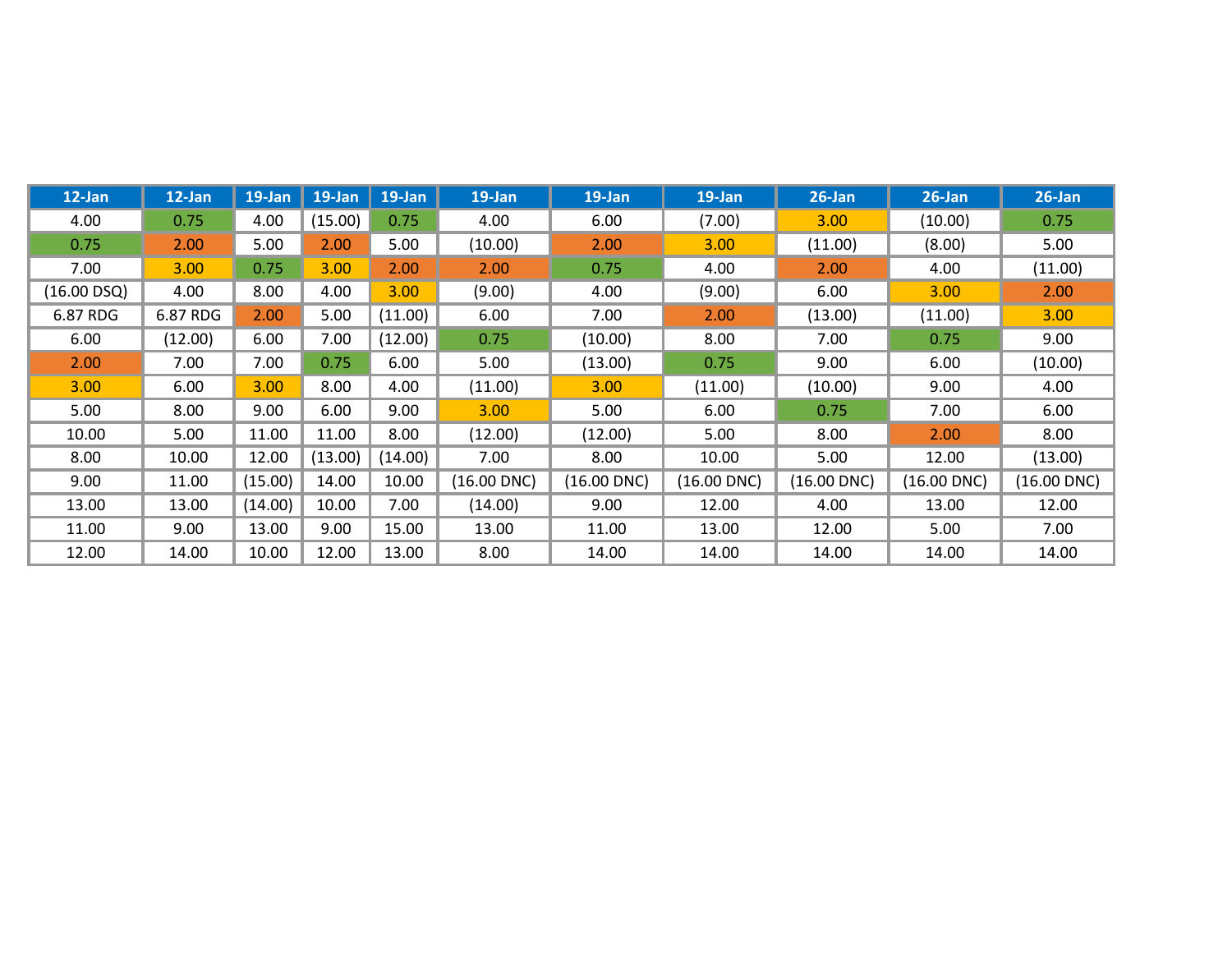| $12$ -Jan   | 12-Jan   | $19$ -Jan | $19$ -Jan | $19$ -Jan | 19-Jan           | 19-Jan           | $19$ -Jan        | $26$ -Jan        | $26$ -Jan        | $26$ -Jan        |
|-------------|----------|-----------|-----------|-----------|------------------|------------------|------------------|------------------|------------------|------------------|
| 4.00        | 0.75     | 4.00      | (15.00)   | 0.75      | 4.00             | 6.00             | (7.00)           | 3.00             | (10.00)          | 0.75             |
| 0.75        | 2.00     | 5.00      | 2.00      | 5.00      | (10.00)          | 2.00             | 3.00             | (11.00)          | (8.00)           | 5.00             |
| 7.00        | 3.00     | 0.75      | 3.00      | 2.00      | 2.00             | 0.75             | 4.00             | 2.00             | 4.00             | (11.00)          |
| (16.00 DSQ) | 4.00     | 8.00      | 4.00      | 3.00      | (9.00)           | 4.00             | (9.00)           | 6.00             | 3.00             | 2.00             |
| 6.87 RDG    | 6.87 RDG | 2.00      | 5.00      | (11.00)   | 6.00             | 7.00             | 2.00             | (13.00)          | (11.00)          | 3.00             |
| 6.00        | (12.00)  | 6.00      | 7.00      | (12.00)   | 0.75             | (10.00)          | 8.00             | 7.00             | 0.75             | 9.00             |
| 2.00        | 7.00     | 7.00      | 0.75      | 6.00      | 5.00             | (13.00)          | 0.75             | 9.00             | 6.00             | (10.00)          |
| 3.00        | 6.00     | 3.00      | 8.00      | 4.00      | (11.00)          | 3.00             | (11.00)          | (10.00)          | 9.00             | 4.00             |
| 5.00        | 8.00     | 9.00      | 6.00      | 9.00      | 3.00             | 5.00             | 6.00             | 0.75             | 7.00             | 6.00             |
| 10.00       | 5.00     | 11.00     | 11.00     | 8.00      | (12.00)          | (12.00)          | 5.00             | 8.00             | 2.00             | 8.00             |
| 8.00        | 10.00    | 12.00     | (13.00)   | (14.00)   | 7.00             | 8.00             | 10.00            | 5.00             | 12.00            | (13.00)          |
| 9.00        | 11.00    | (15.00)   | 14.00     | 10.00     | $(16.00$ DNC $)$ | $(16.00$ DNC $)$ | $(16.00$ DNC $)$ | $(16.00$ DNC $)$ | $(16.00$ DNC $)$ | $(16.00$ DNC $)$ |
| 13.00       | 13.00    | (14.00)   | 10.00     | 7.00      | (14.00)          | 9.00             | 12.00            | 4.00             | 13.00            | 12.00            |
| 11.00       | 9.00     | 13.00     | 9.00      | 15.00     | 13.00            | 11.00            | 13.00            | 12.00            | 5.00             | 7.00             |
| 12.00       | 14.00    | 10.00     | 12.00     | 13.00     | 8.00             | 14.00            | 14.00            | 14.00            | 14.00            | 14.00            |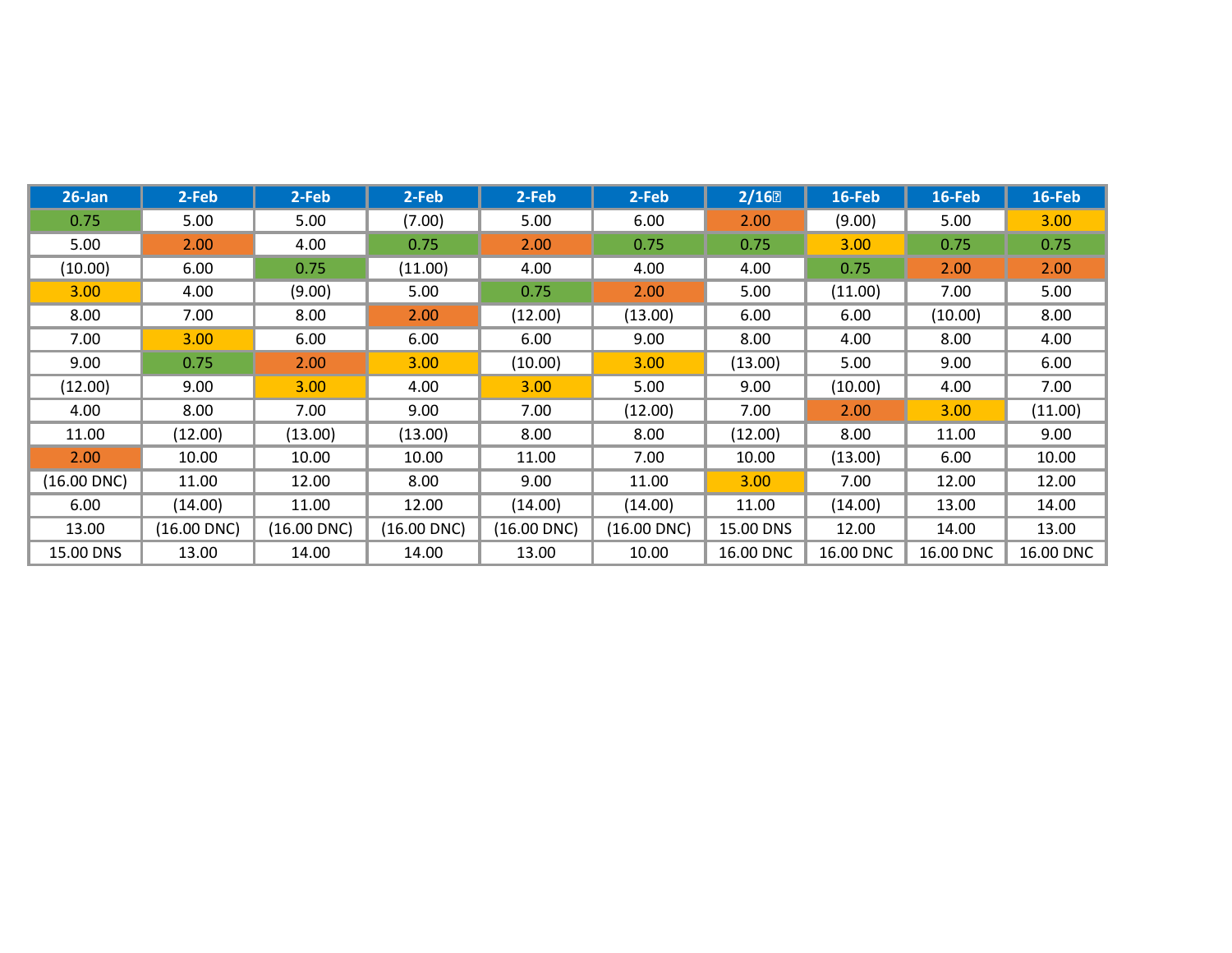| $26$ -Jan        | 2-Feb            | 2-Feb            | 2-Feb            | 2-Feb            | 2-Feb            | 2/16      | 16-Feb    | 16-Feb    | 16-Feb    |
|------------------|------------------|------------------|------------------|------------------|------------------|-----------|-----------|-----------|-----------|
| 0.75             | 5.00             | 5.00             | (7.00)           | 5.00             | 6.00             | 2.00      | (9.00)    | 5.00      | 3.00      |
| 5.00             | 2.00             | 4.00             | 0.75             | 2.00             | 0.75             | 0.75      | 3.00      | 0.75      | 0.75      |
| (10.00)          | 6.00             | 0.75             | (11.00)          | 4.00             | 4.00             | 4.00      | 0.75      | 2.00      | 2.00      |
| 3.00             | 4.00             | (9.00)           | 5.00             | 0.75             | 2.00             | 5.00      | (11.00)   | 7.00      | 5.00      |
| 8.00             | 7.00             | 8.00             | 2.00             | (12.00)          | (13.00)          | 6.00      | 6.00      | (10.00)   | 8.00      |
| 7.00             | 3.00             | 6.00             | 6.00             | 6.00             | 9.00             | 8.00      | 4.00      | 8.00      | 4.00      |
| 9.00             | 0.75             | 2.00             | 3.00             | (10.00)          | 3.00             | (13.00)   | 5.00      | 9.00      | 6.00      |
| (12.00)          | 9.00             | 3.00             | 4.00             | 3.00             | 5.00             | 9.00      | (10.00)   | 4.00      | 7.00      |
| 4.00             | 8.00             | 7.00             | 9.00             | 7.00             | (12.00)          | 7.00      | 2.00      | 3.00      | (11.00)   |
| 11.00            | (12.00)          | (13.00)          | (13.00)          | 8.00             | 8.00             | (12.00)   | 8.00      | 11.00     | 9.00      |
| 2.00             | 10.00            | 10.00            | 10.00            | 11.00            | 7.00             | 10.00     | (13.00)   | 6.00      | 10.00     |
| $(16.00$ DNC $)$ | 11.00            | 12.00            | 8.00             | 9.00             | 11.00            | 3.00      | 7.00      | 12.00     | 12.00     |
| 6.00             | (14.00)          | 11.00            | 12.00            | (14.00)          | (14.00)          | 11.00     | (14.00)   | 13.00     | 14.00     |
| 13.00            | $(16.00$ DNC $)$ | $(16.00$ DNC $)$ | $(16.00$ DNC $)$ | $(16.00$ DNC $)$ | $(16.00$ DNC $)$ | 15.00 DNS | 12.00     | 14.00     | 13.00     |
| 15.00 DNS        | 13.00            | 14.00            | 14.00            | 13.00            | 10.00            | 16.00 DNC | 16.00 DNC | 16.00 DNC | 16.00 DNC |